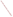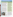

# Portable Technologies for Measuring Lead in Dust

The U.S. EPA Environmental Technology Verification (ETV) Program's Site Characterization and Monitoring Technologies (SCMT) Pilot, which was operated by Oak Ridge National Laboratory (ORNL) under an interagency agreement with EPA, and was an element of the Advanced Monitoring Systems (AMS) Center, has verified the performance of six field screening analyzers for lead in dust.<sup>1</sup> A technical panel of experts in lead testing, which included representation from the U.S. Department of Housing and Urban Development (HUD), National Institute for Occupational Safety and Health, National Institute of Standards and Technology, American Industrial Hygiene Association, Massachusetts Childhood Lead Poisoning and Prevention Program, and several EPA offices, including the Office of Pollution Prevention and Toxics, assisted with the design of the verification test and the reporting of results. These portable analyzers allow quick identification of lead levels in dust onsite and enable the user to react to potential health risks in a timely manner.

# **Technology Description and Verification Testing**

The technologies verified by the ETV Program are portable and designed to be used to analyze dust samples in the field. The verified technologies use either X-ray fluorescence (XRF) or anodic stripping voltammetry (ASV). XRF allows for non-destructive analysis of a sample. This technique uses a radioisotope source or X-ray tube to excite lead atoms in the sample. The atoms, in turn, emit characteristic X-rays that are detected, quantified, and identified by the spectrometer. ASV is a destructive analysis method. A test sample is contacted with acid to bring lead into solution. The solution is subsequently mixed with a buffer salt solution. Lead in the solution is plated on and then stripped off an electrode. Each metal will strip from the electrode at a different potential, allowing for its identification, while the amount of current produced is quantified and correlated to sample concentration. **Table 1** identifies the six ETV-verified technologies and the technique used by each.

A primary objective of the ETV test was to assess whether



the participating field portable technologies produced results that were comparable to National Lead Laboratory Accreditation Program (NLLAP) recognized data. During verification testing, 160 dust wipe samples were analyzed. These wipe samples were [verifications/vcenter1-22.html](http://www.epa.gov/etv/verifications/vcenter1-22.html).<br>**A verified lead in dust analyzer** analyzed. These

#### **Environmental, Health, and Regulatory Background of Lead at a Glance**

Lead is a highly toxic metal that was used for many years in products (e.g., as a pigment in paint products) found in and around homes. Lead may cause a range of health effects, such as behavioral problems and learning disabilities, and, at high levels of exposure, can result in brain damage or death. Research suggests that the primary sources of lead exposure for most children are deteriorating lead-based paint, lead contaminated dust, and lead contaminated residential soil. Children six years old and under are most at risk because their bodies are growing quickly.

The Centers for Disease Control and Prevention have determined in children elevated blood lead levels (BLLs) of 10 micrograms per deciliter or higher are associated with adverse health effects. To address the hazards of lead poisoning, the U.S. Consumer Product Safety Commission banned lead-based paint in 1978. However, homes built prior to 1978 are still in use and may have interior or exterior paint containing lead. In 1992, the U.S. Congress enacted the Residential Lead-Based Paint Hazard Reduction Act. Under this act, EPA and other federal agencies such as HUD established numerical standards for hazardous levels of lead in dust for pre-1978 housing and childoccupied facilities, required disclosure of known lead-based paint and lead-based paint hazards to buyers and tenants, and provided grants for low-income families who occupy lead-based-paint hazards in private housing. The grants include clean-up, control, testing, awareness, and training.

wipes contained between 2 and 1,500 micrograms of lead per dust wipe, which is representative of levels found in house dust wipe samples collected using ASTM methods. The ETV Program evaluated the technologies on the following performance parameters: precision, accuracy, comparability to NLLAP recognized laboratory results, detectable blanks, false positive results, false negative results and other parameters. **Table 2** summarizes some of the performance data for the individual verified technologies. Additional information is available in the full verification reports and verification summary statements which can be found at [http://www.epa.gov/etv/](http://www.epa.gov/etv/verifications/vcenter1-22.html)

 ${}^{1}$ The ETV Program operates largely as a public-private partnership through competitive cooperative agreements with non-profit research institutes. The program provides objective quality-assured data on the performance

 $\overline{\mathbf{d}}$ 

**NO2-**

eog